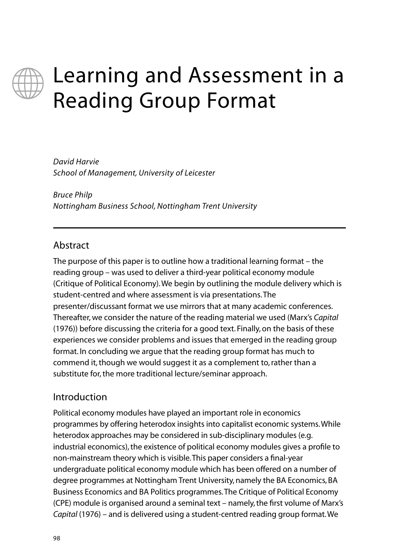# Learning and Assessment in a Reading Group Format

*David Harvie School of Management, University of Leicester*

*Bruce Philp Nottingham Business School, Nottingham Trent University*

# **Abstract**

The purpose of this paper is to outline how a traditional learning format – the reading group – was used to deliver a third-year political economy module (Critique of Political Economy).We begin by outlining the module delivery which is student-centred and where assessment is via presentations.The presenter/discussant format we use mirrors that at many academic conferences. Thereafter, we consider the nature of the reading material we used (Marx's *Capital* (1976)) before discussing the criteria for a good text. Finally, on the basis of these experiences we consider problems and issues that emerged in the reading group format. In concluding we argue that the reading group format has much to commend it, though we would suggest it as a complement to, rather than a substitute for, the more traditional lecture/seminar approach.

### Introduction

Political economy modules have played an important role in economics programmes by offering heterodox insights into capitalist economic systems.While heterodox approaches may be considered in sub-disciplinary modules (e.g. industrial economics), the existence of political economy modules gives a profile to non-mainstream theory which is visible.This paper considers a final-year undergraduate political economy module which has been offered on a number of degree programmes at Nottingham Trent University, namely the BA Economics, BA Business Economics and BA Politics programmes.The Critique of Political Economy (CPE) module is organised around a seminal text – namely, the first volume of Marx's *Capital* (1976) – and is delivered using a student-centred reading group format.We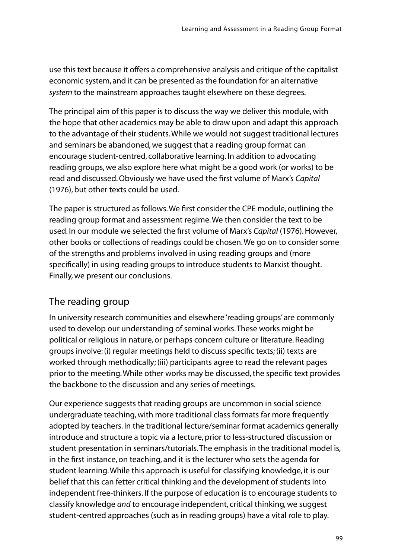use this text because it offers a comprehensive analysis and critique of the capitalist economic system, and it can be presented as the foundation for an alternative *system* to the mainstream approaches taught elsewhere on these degrees.

The principal aim of this paper is to discuss the way we deliver this module, with the hope that other academics may be able to draw upon and adapt this approach to the advantage of their students.While we would not suggest traditional lectures and seminars be abandoned, we suggest that a reading group format can encourage student-centred, collaborative learning. In addition to advocating reading groups, we also explore here what might be a good work (or works) to be read and discussed. Obviously we have used the first volume of Marx's *Capital* (1976), but other texts could be used.

The paper is structured as follows.We first consider the CPE module, outlining the reading group format and assessment regime.We then consider the text to be used. In our module we selected the first volume of Marx's *Capital* (1976). However, other books or collections of readings could be chosen.We go on to consider some of the strengths and problems involved in using reading groups and (more specifically) in using reading groups to introduce students to Marxist thought. Finally, we present our conclusions.

# The reading group

In university research communities and elsewhere 'reading groups' are commonly used to develop our understanding of seminal works.These works might be political or religious in nature, or perhaps concern culture or literature. Reading groups involve: (i) regular meetings held to discuss specific texts; (ii) texts are worked through methodically; (iii) participants agree to read the relevant pages prior to the meeting.While other works may be discussed, the specific text provides the backbone to the discussion and any series of meetings.

Our experience suggests that reading groups are uncommon in social science undergraduate teaching, with more traditional class formats far more frequently adopted by teachers. In the traditional lecture/seminar format academics generally introduce and structure a topic via a lecture, prior to less-structured discussion or student presentation in seminars/tutorials.The emphasis in the traditional model is, in the first instance, on teaching, and it is the lecturer who sets the agenda for student learning.While this approach is useful for classifying knowledge, it is our belief that this can fetter critical thinking and the development of students into independent free-thinkers. If the purpose of education is to encourage students to classify knowledge *and* to encourage independent, critical thinking, we suggest student-centred approaches (such as in reading groups) have a vital role to play.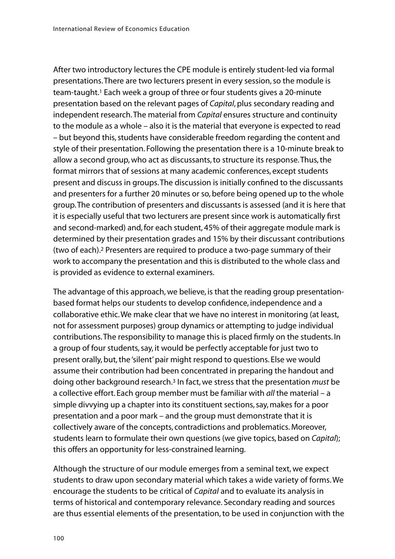After two introductory lectures the CPE module is entirely student-led via formal presentations.There are two lecturers present in every session, so the module is team-taught.1 Each week a group of three or four students gives a 20-minute presentation based on the relevant pages of *Capital*, plus secondary reading and independent research.The material from *Capital* ensures structure and continuity to the module as a whole – also it is the material that everyone is expected to read – but beyond this, students have considerable freedom regarding the content and style of their presentation. Following the presentation there is a 10-minute break to allow a second group, who act as discussants, to structure its response.Thus, the format mirrors that of sessions at many academic conferences, except students present and discuss in groups.The discussion is initially confined to the discussants and presenters for a further 20 minutes or so, before being opened up to the whole group.The contribution of presenters and discussants is assessed (and it is here that it is especially useful that two lecturers are present since work is automatically first and second-marked) and, for each student, 45% of their aggregate module mark is determined by their presentation grades and 15% by their discussant contributions (two of each).2 Presenters are required to produce a two-page summary of their work to accompany the presentation and this is distributed to the whole class and is provided as evidence to external examiners.

The advantage of this approach, we believe, is that the reading group presentationbased format helps our students to develop confidence, independence and a collaborative ethic.We make clear that we have no interest in monitoring (at least, not for assessment purposes) group dynamics or attempting to judge individual contributions.The responsibility to manage this is placed firmly on the students. In a group of four students, say, it would be perfectly acceptable for just two to present orally, but, the 'silent' pair might respond to questions. Else we would assume their contribution had been concentrated in preparing the handout and doing other background research.3 In fact, we stress that the presentation *must* be a collective effort. Each group member must be familiar with *all* the material – a simple divvying up a chapter into its constituent sections, say, makes for a poor presentation and a poor mark – and the group must demonstrate that it is collectively aware of the concepts, contradictions and problematics. Moreover, students learn to formulate their own questions (we give topics, based on *Capital*); this offers an opportunity for less-constrained learning.

Although the structure of our module emerges from a seminal text, we expect students to draw upon secondary material which takes a wide variety of forms. We encourage the students to be critical of *Capital* and to evaluate its analysis in terms of historical and contemporary relevance. Secondary reading and sources are thus essential elements of the presentation, to be used in conjunction with the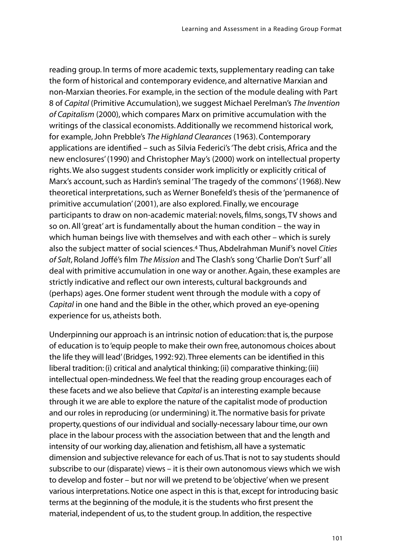reading group. In terms of more academic texts, supplementary reading can take the form of historical and contemporary evidence, and alternative Marxian and non-Marxian theories. For example, in the section of the module dealing with Part 8 of *Capital* (Primitive Accumulation), we suggest Michael Perelman's *The Invention of Capitalism* (2000), which compares Marx on primitive accumulation with the writings of the classical economists. Additionally we recommend historical work, for example, John Prebble's *The Highland Clearances* (1963). Contemporary applications are identified – such as Silvia Federici's 'The debt crisis, Africa and the new enclosures' (1990) and Christopher May's (2000) work on intellectual property rights. We also suggest students consider work implicitly or explicitly critical of Marx's account, such as Hardin's seminal 'The tragedy of the commons' (1968). New theoretical interpretations, such as Werner Bonefeld's thesis of the 'permanence of primitive accumulation' (2001), are also explored. Finally, we encourage participants to draw on non-academic material: novels, films, songs, TV shows and so on. All 'great' art is fundamentally about the human condition – the way in which human beings live with themselves and with each other – which is surely also the subject matter of social sciences.4 Thus, Abdelrahman Munif's novel *Cities of Salt*, Roland Joffé's film *The Mission* and The Clash's song 'Charlie Don't Surf' all deal with primitive accumulation in one way or another. Again, these examples are strictly indicative and reflect our own interests, cultural backgrounds and (perhaps) ages. One former student went through the module with a copy of *Capital* in one hand and the Bible in the other, which proved an eye-opening experience for us, atheists both.

Underpinning our approach is an intrinsic notion of education: that is, the purpose of education is to'equip people to make their own free, autonomous choices about the life they will lead' (Bridges, 1992: 92).Three elements can be identified in this liberal tradition: (i) critical and analytical thinking; (ii) comparative thinking; (iii) intellectual open-mindedness.We feel that the reading group encourages each of these facets and we also believe that *Capital* is an interesting example because through it we are able to explore the nature of the capitalist mode of production and our roles in reproducing (or undermining) it.The normative basis for private property, questions of our individual and socially-necessary labour time, our own place in the labour process with the association between that and the length and intensity of our working day, alienation and fetishism, all have a systematic dimension and subjective relevance for each of us.That is not to say students should subscribe to our (disparate) views – it is their own autonomous views which we wish to develop and foster – but nor will we pretend to be 'objective' when we present various interpretations. Notice one aspect in this is that, except for introducing basic terms at the beginning of the module, it is the students who first present the material, independent of us, to the student group. In addition, the respective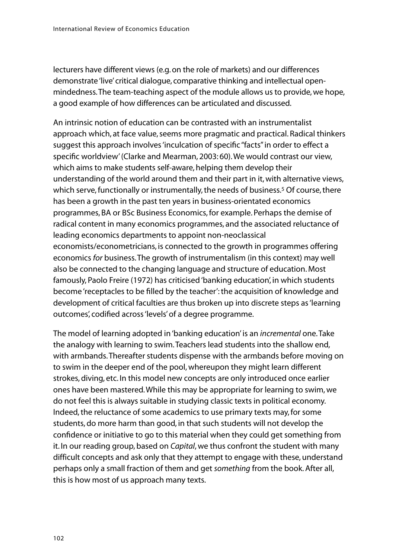lecturers have different views (e.g. on the role of markets) and our differences demonstrate 'live' critical dialogue, comparative thinking and intellectual openmindedness.The team-teaching aspect of the module allows us to provide, we hope, a good example of how differences can be articulated and discussed.

An intrinsic notion of education can be contrasted with an instrumentalist approach which, at face value, seems more pragmatic and practical. Radical thinkers suggest this approach involves 'inculcation of specific "facts" in order to effect a specific worldview' (Clarke and Mearman, 2003: 60).We would contrast our view, which aims to make students self-aware, helping them develop their understanding of the world around them and their part in it, with alternative views, which serve, functionally or instrumentally, the needs of business.<sup>5</sup> Of course, there has been a growth in the past ten years in business-orientated economics programmes, BA or BSc Business Economics, for example. Perhaps the demise of radical content in many economics programmes, and the associated reluctance of leading economics departments to appoint non-neoclassical economists/econometricians, is connected to the growth in programmes offering economics *for* business.The growth of instrumentalism (in this context) may well also be connected to the changing language and structure of education. Most famously, Paolo Freire (1972) has criticised 'banking education', in which students become 'receptacles to be filled by the teacher': the acquisition of knowledge and development of critical faculties are thus broken up into discrete steps as 'learning outcomes', codified across 'levels' of a degree programme.

The model of learning adopted in 'banking education' is an *incremental* one.Take the analogy with learning to swim.Teachers lead students into the shallow end, with armbands.Thereafter students dispense with the armbands before moving on to swim in the deeper end of the pool, whereupon they might learn different strokes, diving, etc. In this model new concepts are only introduced once earlier ones have been mastered.While this may be appropriate for learning to swim, we do not feel this is always suitable in studying classic texts in political economy. Indeed, the reluctance of some academics to use primary texts may, for some students, do more harm than good, in that such students will not develop the confidence or initiative to go to this material when they could get something from it. In our reading group, based on *Capital*, we thus confront the student with many difficult concepts and ask only that they attempt to engage with these, understand perhaps only a small fraction of them and get *something* from the book. After all, this is how most of us approach many texts.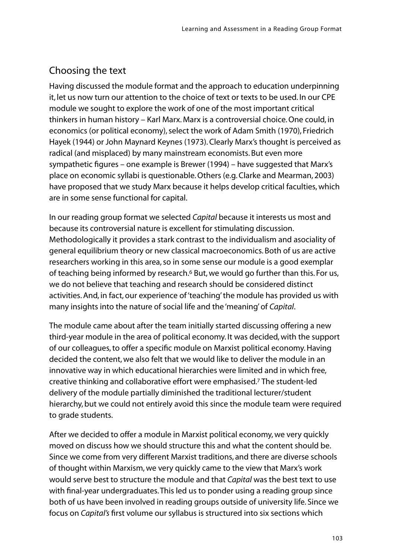# Choosing the text

Having discussed the module format and the approach to education underpinning it, let us now turn our attention to the choice of text or texts to be used. In our CPE module we sought to explore the work of one of the most important critical thinkers in human history – Karl Marx. Marx is a controversial choice. One could, in economics (or political economy), select the work of Adam Smith (1970), Friedrich Hayek (1944) or John Maynard Keynes (1973). Clearly Marx's thought is perceived as radical (and misplaced) by many mainstream economists. But even more sympathetic figures – one example is Brewer (1994) – have suggested that Marx's place on economic syllabi is questionable. Others (e.g. Clarke and Mearman, 2003) have proposed that we study Marx because it helps develop critical faculties, which are in some sense functional for capital.

In our reading group format we selected *Capital* because it interests us most and because its controversial nature is excellent for stimulating discussion. Methodologically it provides a stark contrast to the individualism and asociality of general equilibrium theory or new classical macroeconomics. Both of us are active researchers working in this area, so in some sense our module is a good exemplar of teaching being informed by research.6 But, we would go further than this. For us, we do not believe that teaching and research should be considered distinct activities. And, in fact, our experience of 'teaching' the module has provided us with many insights into the nature of social life and the 'meaning' of *Capital*.

The module came about after the team initially started discussing offering a new third-year module in the area of political economy. It was decided, with the support of our colleagues,to offer a specific module on Marxist political economy. Having decided the content, we also felt that we would like to deliver the module in an innovative way in which educational hierarchies were limited and in which free, creative thinking and collaborative effort were emphasised.7 The student-led delivery of the module partially diminished the traditional lecturer/student hierarchy, but we could not entirely avoid this since the module team were required to grade students.

After we decided to offer a module in Marxist political economy, we very quickly moved on discuss how we should structure this and what the content should be. Since we come from very different Marxist traditions, and there are diverse schools of thought within Marxism, we very quickly came to the view that Marx's work would serve best to structure the module and that *Capital* was the best text to use with final-year undergraduates.This led us to ponder using a reading group since both of us have been involved in reading groups outside of university life. Since we focus on *Capital's* first volume our syllabus is structured into six sections which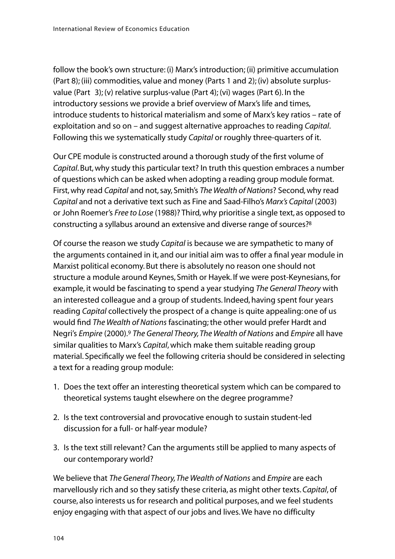follow the book's own structure: (i) Marx's introduction; (ii) primitive accumulation (Part 8); (iii) commodities, value and money (Parts 1 and 2); (iv) absolute surplusvalue (Part 3); (v) relative surplus-value (Part 4); (vi) wages (Part 6). In the introductory sessions we provide a brief overview of Marx's life and times, introduce students to historical materialism and some of Marx's key ratios – rate of exploitation and so on – and suggest alternative approaches to reading *Capital*. Following this we systematically study *Capital* or roughly three-quarters of it.

Our CPE module is constructed around a thorough study of the first volume of *Capital*. But, why study this particular text? In truth this question embraces a number of questions which can be asked when adopting a reading group module format. First, why read *Capital* and not, say, Smith's *The Wealth of Nations*? Second, why read *Capital* and not a derivative text such as Fine and Saad-Filho's *Marx's Capital* (2003) or John Roemer's *Free to Lose* (1988)? Third, why prioritise a single text, as opposed to constructing a syllabus around an extensive and diverse range of sources?8

Of course the reason we study *Capital* is because we are sympathetic to many of the arguments contained in it, and our initial aim was to offer a final year module in Marxist political economy. But there is absolutely no reason one should not structure a module around Keynes, Smith or Hayek. If we were post-Keynesians, for example, it would be fascinating to spend a year studying *The General Theory* with an interested colleague and a group of students. Indeed, having spent four years reading *Capital* collectively the prospect of a change is quite appealing: one of us would find *The Wealth of Nations* fascinating;the other would prefer Hardt and Negri's *Empire* (2000).9 *The General Theory,The Wealth of Nations* and *Empire* all have similar qualities to Marx's *Capital*, which make them suitable reading group material. Specifically we feel the following criteria should be considered in selecting a text for a reading group module:

- 1. Does the text offer an interesting theoretical system which can be compared to theoretical systems taught elsewhere on the degree programme?
- 2. Is the text controversial and provocative enough to sustain student-led discussion for a full- or half-year module?
- 3. Is the text still relevant? Can the arguments still be applied to many aspects of our contemporary world?

We believe that *The General Theory,The Wealth of Nations* and *Empire* are each marvellously rich and so they satisfy these criteria, as might other texts.*Capital*, of course, also interests us for research and political purposes, and we feel students enjoy engaging with that aspect of our jobs and lives.We have no difficulty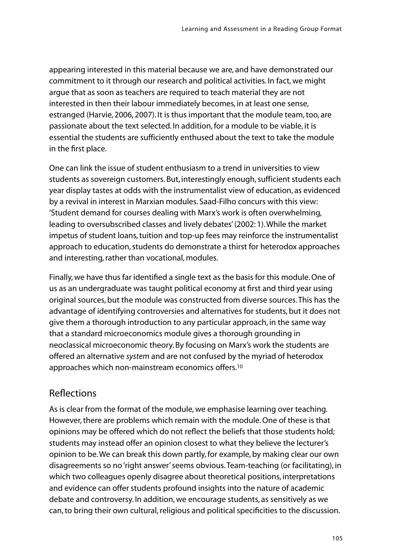appearing interested in this material because we are, and have demonstrated our commitment to it through our research and political activities. In fact, we might argue that as soon as teachers are required to teach material they are not interested in then their labour immediately becomes, in at least one sense, estranged (Harvie, 2006, 2007). It is thus important that the module team, too, are passionate about the text selected. In addition, for a module to be viable, it is essential the students are sufficiently enthused about the text to take the module in the first place.

One can link the issue of student enthusiasm to a trend in universities to view students as sovereign customers. But, interestingly enough, sufficient students each year display tastes at odds with the instrumentalist view of education, as evidenced by a revival in interest in Marxian modules. Saad-Filho concurs with this view: 'Student demand for courses dealing with Marx's work is often overwhelming, leading to oversubscribed classes and lively debates' (2002: 1).While the market impetus of student loans, tuition and top-up fees may reinforce the instrumentalist approach to education, students do demonstrate a thirst for heterodox approaches and interesting, rather than vocational, modules.

Finally, we have thus far identified a single text as the basis for this module. One of us as an undergraduate was taught political economy at first and third year using original sources, but the module was constructed from diverse sources.This has the advantage of identifying controversies and alternatives for students, but it does not give them a thorough introduction to any particular approach, in the same way that a standard microeconomics module gives a thorough grounding in neoclassical microeconomic theory. By focusing on Marx's work the students are offered an alternative *system* and are not confused by the myriad of heterodox approaches which non-mainstream economics offers.10

# Reflections

As is clear from the format of the module, we emphasise learning over teaching. However, there are problems which remain with the module. One of these is that opinions may be offered which do not reflect the beliefs that those students hold; students may instead offer an opinion closest to what they believe the lecturer's opinion to be.We can break this down partly, for example, by making clear our own disagreements so no 'right answer' seems obvious.Team-teaching (or facilitating), in which two colleagues openly disagree about theoretical positions, interpretations and evidence can offer students profound insights into the nature of academic debate and controversy. In addition, we encourage students, as sensitively as we can, to bring their own cultural, religious and political specificities to the discussion.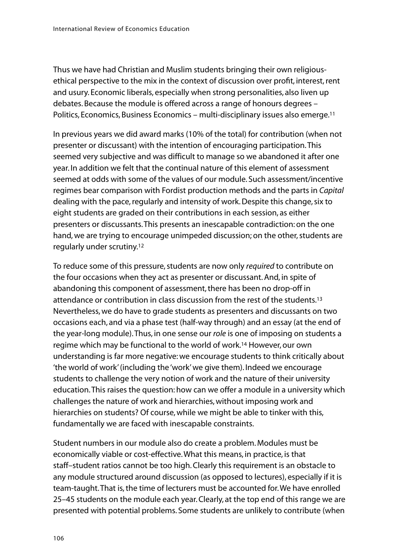Thus we have had Christian and Muslim students bringing their own religiousethical perspective to the mix in the context of discussion over profit, interest, rent and usury. Economic liberals, especially when strong personalities, also liven up debates. Because the module is offered across a range of honours degrees – Politics, Economics, Business Economics – multi-disciplinary issues also emerge.11

In previous years we did award marks (10% of the total) for contribution (when not presenter or discussant) with the intention of encouraging participation.This seemed very subjective and was difficult to manage so we abandoned it after one year. In addition we felt that the continual nature of this element of assessment seemed at odds with some of the values of our module. Such assessment/incentive regimes bear comparison with Fordist production methods and the parts in *Capital* dealing with the pace, regularly and intensity of work. Despite this change, six to eight students are graded on their contributions in each session, as either presenters or discussants.This presents an inescapable contradiction: on the one hand, we are trying to encourage unimpeded discussion; on the other, students are regularly under scrutiny.12

To reduce some of this pressure, students are now only *required* to contribute on the four occasions when they act as presenter or discussant. And, in spite of abandoning this component of assessment, there has been no drop-off in attendance or contribution in class discussion from the rest of the students.<sup>13</sup> Nevertheless, we do have to grade students as presenters and discussants on two occasions each, and via a phase test (half-way through) and an essay (at the end of the year-long module).Thus, in one sense our *role* is one of imposing on students a regime which may be functional to the world of work.14 However, our own understanding is far more negative: we encourage students to think critically about 'the world of work' (including the 'work' we give them). Indeed we encourage students to challenge the very notion of work and the nature of their university education.This raises the question: how can we offer a module in a university which challenges the nature of work and hierarchies, without imposing work and hierarchies on students? Of course, while we might be able to tinker with this, fundamentally we are faced with inescapable constraints.

Student numbers in our module also do create a problem. Modules must be economically viable or cost-effective.What this means, in practice, is that staff–student ratios cannot be too high. Clearly this requirement is an obstacle to any module structured around discussion (as opposed to lectures), especially if it is team-taught.That is, the time of lecturers must be accounted for.We have enrolled 25–45 students on the module each year. Clearly, at the top end of this range we are presented with potential problems. Some students are unlikely to contribute (when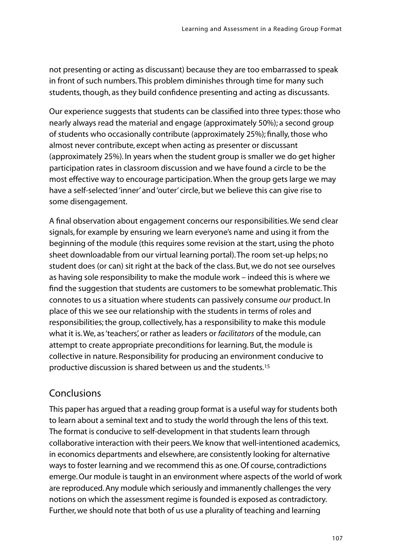not presenting or acting as discussant) because they are too embarrassed to speak in front of such numbers.This problem diminishes through time for many such students, though, as they build confidence presenting and acting as discussants.

Our experience suggests that students can be classified into three types: those who nearly always read the material and engage (approximately 50%); a second group of students who occasionally contribute (approximately 25%); finally, those who almost never contribute, except when acting as presenter or discussant (approximately 25%). In years when the student group is smaller we do get higher participation rates in classroom discussion and we have found a circle to be the most effective way to encourage participation.When the group gets large we may have a self-selected 'inner' and 'outer' circle, but we believe this can give rise to some disengagement.

A final observation about engagement concerns our responsibilities.We send clear signals, for example by ensuring we learn everyone's name and using it from the beginning of the module (this requires some revision at the start, using the photo sheet downloadable from our virtual learning portal).The room set-up helps; no student does (or can) sit right at the back of the class. But, we do not see ourselves as having sole responsibility to make the module work – indeed this is where we find the suggestion that students are customers to be somewhat problematic.This connotes to us a situation where students can passively consume *our* product. In place of this we see our relationship with the students in terms of roles and responsibilities;the group, collectively, has a responsibility to make this module what it is.We, as 'teachers', or rather as leaders or *facilitators* of the module, can attempt to create appropriate preconditions for learning. But, the module is collective in nature. Responsibility for producing an environment conducive to productive discussion is shared between us and the students.15

# Conclusions

This paper has argued that a reading group format is a useful way for students both to learn about a seminal text and to study the world through the lens of this text. The format is conducive to self-development in that students learn through collaborative interaction with their peers.We know that well-intentioned academics, in economics departments and elsewhere, are consistently looking for alternative ways to foster learning and we recommend this as one. Of course, contradictions emerge. Our module is taught in an environment where aspects of the world of work are reproduced. Any module which seriously and immanently challenges the very notions on which the assessment regime is founded is exposed as contradictory. Further, we should note that both of us use a plurality of teaching and learning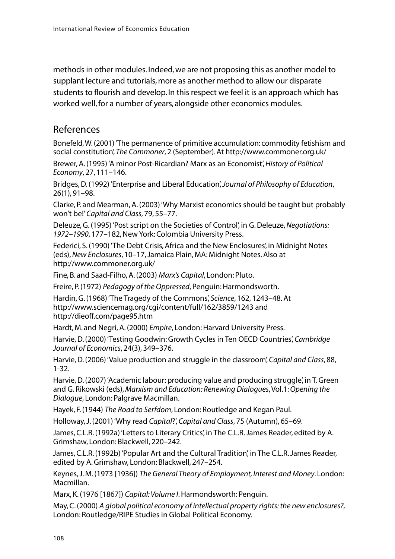methods in other modules. Indeed, we are not proposing this as another model to supplant lecture and tutorials, more as another method to allow our disparate students to flourish and develop. In this respect we feel it is an approach which has worked well, for a number of years, alongside other economics modules.

# References

Bonefeld,W. (2001) 'The permanence of primitive accumulation: commodity fetishism and social constitution', *The Commoner*, 2 (September). At http://www.commoner.org.uk/

Brewer, A. (1995) 'A minor Post-Ricardian? Marx as an Economist',*History of Political Economy*, 27, 111–146.

Bridges, D. (1992) 'Enterprise and Liberal Education',*Journal of Philosophy of Education*, 26(1), 91–98.

Clarke, P. and Mearman, A. (2003) 'Why Marxist economics should be taught but probably won't be!'*Capital and Class*, 79, 55–77.

Deleuze, G. (1995) 'Post script on the Societies of Control', in G. Deleuze,*Negotiations:* 1972–1990, 177–182, New York: Colombia University Press.

Federici, S. (1990) 'The Debt Crisis, Africa and the New Enclosures', in Midnight Notes (eds),*New Enclosures*, 10–17, Jamaica Plain, MA: Midnight Notes. Also at http://www.commoner.org.uk/

Fine, B. and Saad-Filho, A. (2003) *Marx's Capital*, London: Pluto.

Freire, P. (1972) *Pedagogy of the Oppressed*, Penguin: Harmondsworth.

Hardin, G. (1968) 'The Tragedy of the Commons', *Science*, 162, 1243–48. At http://www.sciencemag.org/cgi/content/full/162/3859/1243 and http://dieoff.com/page95.htm

Hardt, M. and Negri, A. (2000) *Empire*, London: Harvard University Press.

Harvie,D.(2000) 'Testing Goodwin: Growth Cycles in Ten OECD Countries',*Cambridge Journal of Economics*, 24(3), 349–376.

Harvie, D. (2006) 'Value production and struggle in the classroom',*Capital and Class*, 88, 1-32.

Harvie, D. (2007) 'Academic labour: producing value and producing struggle', in T. Green and G. Rikowski (eds),*Marxism and Education: Renewing Dialogues*, Vol.1:*Opening the Dialogue*, London: Palgrave Macmillan.

Hayek, F. (1944) *The Road to Serfdom*, London: Routledge and Kegan Paul.

Holloway, J. (2001) 'Why read *Capital*?', *Capital and Class*, 75 (Autumn), 65–69.

James, C.L.R. (1992a) 'Letters to Literary Critics', in The C.L.R. James Reader, edited by A. Grimshaw, London: Blackwell, 220–242.

James, C.L.R. (1992b) 'Popular Art and the Cultural Tradition', in The C.L.R. James Reader, edited by A. Grimshaw, London: Blackwell, 247–254.

Keynes, J. M. (1973 [1936]) *The General Theory of Employment, Interest and Money*. London: Macmillan.

Marx, K. (1976 [1867]) *Capital: Volume I*. Harmondsworth: Penguin.

May, C. (2000) *A global political economy of intellectual property rights: the new enclosures?*, London: Routledge/RIPE Studies in Global Political Economy.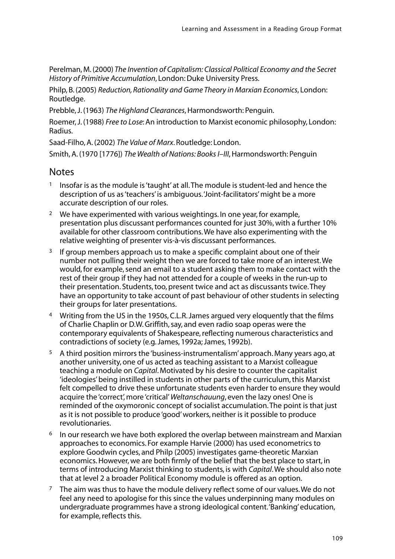Perelman, M. (2000) *The Invention of Capitalism: Classical Political Economy and the Secret History of Primitive Accumulation*, London: Duke University Press.

Philp, B. (2005) *Reduction, Rationality and Game Theory in Marxian Economics*, London: Routledge.

Prebble, J. (1963) *The Highland Clearances*, Harmondsworth: Penguin.

Roemer, J. (1988) *Free to Lose*: An introduction to Marxist economic philosophy, London: Radius.

Saad-Filho, A. (2002) *The Value of Marx*. Routledge: London.

Smith, A. (1970 [1776]) *The Wealth of Nations: Books I–III*, Harmondsworth: Penguin

#### **Notes**

- 1 Insofar is as the module is 'taught' at all.The module is student-led and hence the description of us as 'teachers' is ambiguous.'Joint-facilitators' might be a more accurate description of our roles.
- <sup>2</sup> We have experimented with various weightings. In one year, for example, presentation plus discussant performances counted for just 30%, with a further 10% available for other classroom contributions.We have also experimenting with the relative weighting of presenter vis-à-vis discussant performances.
- $3$  If group members approach us to make a specific complaint about one of their number not pulling their weight then we are forced to take more of an interest.We would, for example, send an email to a student asking them to make contact with the rest of their group if they had not attended for a couple of weeks in the run-up to their presentation. Students, too, present twice and act as discussants twice.They have an opportunity to take account of past behaviour of other students in selecting their groups for later presentations.
- 4 Writing from the US in the 1950s,C.L.R. James argued very eloquently that the films of Charlie Chaplin or D.W. Griffith, say, and even radio soap operas were the contemporary equivalents of Shakespeare, reflecting numerous characteristics and contradictions of society (e.g. James, 1992a; James, 1992b).
- 5 A third position mirrors the 'business-instrumentalism' approach. Many years ago, at another university, one of us acted as teaching assistant to a Marxist colleague teaching a module on *Capital*. Motivated by his desire to counter the capitalist 'ideologies'being instilled in students in other parts of the curriculum,this Marxist felt compelled to drive these unfortunate students even harder to ensure they would acquire the 'correct', more 'critical'*Weltanschauung*, even the lazy ones! One is reminded of the oxymoronic concept of socialist accumulation.The point is that just as it is not possible to produce 'good' workers, neither is it possible to produce revolutionaries.
- $6$  In our research we have both explored the overlap between mainstream and Marxian approaches to economics. For example Harvie (2000) has used econometrics to explore Goodwin cycles, and Philp (2005) investigates game-theoretic Marxian economics. However, we are both firmly of the belief that the best place to start, in terms of introducing Marxist thinking to students, is with *Capital*.We should also note that at level 2 a broader Political Economy module is offered as an option.
- $7$  The aim was thus to have the module delivery reflect some of our values. We do not feel any need to apologise for this since the values underpinning many modules on undergraduate programmes have a strong ideological content.'Banking' education, for example, reflects this.